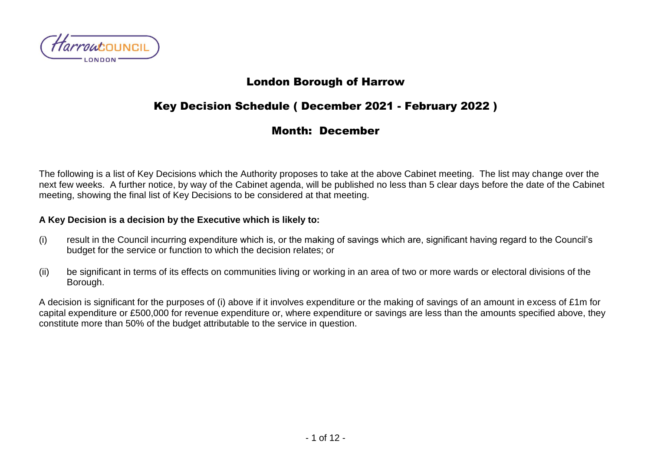

### London Borough of Harrow

# Key Decision Schedule ( December 2021 - February 2022 )

### Month: December

The following is a list of Key Decisions which the Authority proposes to take at the above Cabinet meeting. The list may change over the next few weeks. A further notice, by way of the Cabinet agenda, will be published no less than 5 clear days before the date of the Cabinet meeting, showing the final list of Key Decisions to be considered at that meeting.

#### **A Key Decision is a decision by the Executive which is likely to:**

- (i) result in the Council incurring expenditure which is, or the making of savings which are, significant having regard to the Council's budget for the service or function to which the decision relates; or
- (ii) be significant in terms of its effects on communities living or working in an area of two or more wards or electoral divisions of the Borough.

A decision is significant for the purposes of (i) above if it involves expenditure or the making of savings of an amount in excess of £1m for capital expenditure or £500,000 for revenue expenditure or, where expenditure or savings are less than the amounts specified above, they constitute more than 50% of the budget attributable to the service in question.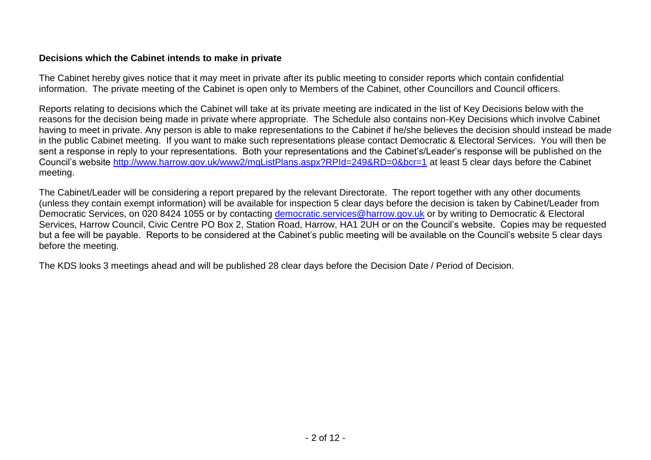#### **Decisions which the Cabinet intends to make in private**

The Cabinet hereby gives notice that it may meet in private after its public meeting to consider reports which contain confidential information. The private meeting of the Cabinet is open only to Members of the Cabinet, other Councillors and Council officers.

Reports relating to decisions which the Cabinet will take at its private meeting are indicated in the list of Key Decisions below with the reasons for the decision being made in private where appropriate. The Schedule also contains non-Key Decisions which involve Cabinet having to meet in private. Any person is able to make representations to the Cabinet if he/she believes the decision should instead be made in the public Cabinet meeting. If you want to make such representations please contact Democratic & Electoral Services. You will then be sent a response in reply to your representations. Both your representations and the Cabinet's/Leader's response will be published on the Council's website<http://www.harrow.gov.uk/www2/mgListPlans.aspx?RPId=249&RD=0&bcr=1> at least 5 clear days before the Cabinet meeting.

The Cabinet/Leader will be considering a report prepared by the relevant Directorate. The report together with any other documents (unless they contain exempt information) will be available for inspection 5 clear days before the decision is taken by Cabinet/Leader from Democratic Services, on 020 8424 1055 or by contacting [democratic.services@harrow.gov.uk](mailto:democratic.services@harrow.gov.uk) or by writing to Democratic & Electoral Services, Harrow Council, Civic Centre PO Box 2, Station Road, Harrow, HA1 2UH or on the Council's website. Copies may be requested but a fee will be payable. Reports to be considered at the Cabinet's public meeting will be available on the Council's website 5 clear days before the meeting.

The KDS looks 3 meetings ahead and will be published 28 clear days before the Decision Date / Period of Decision.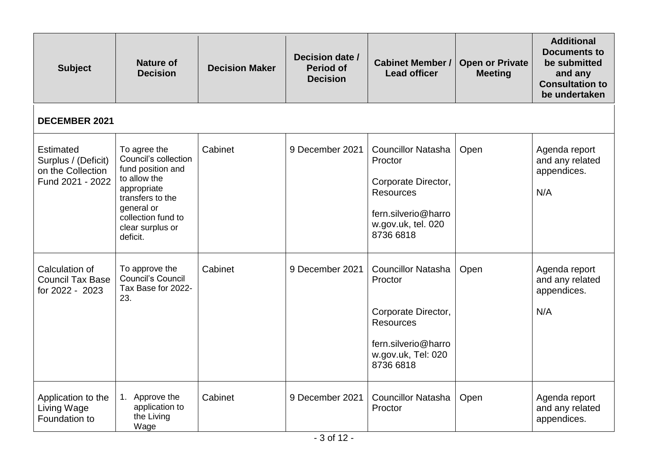| <b>Subject</b>                                                                   | <b>Nature of</b><br><b>Decision</b>                                                                                                                                              | <b>Decision Maker</b> | Decision date /<br><b>Period of</b><br><b>Decision</b> | <b>Cabinet Member /</b><br><b>Lead officer</b>                                                                                            | <b>Open or Private</b><br><b>Meeting</b> | <b>Additional</b><br><b>Documents to</b><br>be submitted<br>and any<br><b>Consultation to</b><br>be undertaken |
|----------------------------------------------------------------------------------|----------------------------------------------------------------------------------------------------------------------------------------------------------------------------------|-----------------------|--------------------------------------------------------|-------------------------------------------------------------------------------------------------------------------------------------------|------------------------------------------|----------------------------------------------------------------------------------------------------------------|
| <b>DECEMBER 2021</b>                                                             |                                                                                                                                                                                  |                       |                                                        |                                                                                                                                           |                                          |                                                                                                                |
| <b>Estimated</b><br>Surplus / (Deficit)<br>on the Collection<br>Fund 2021 - 2022 | To agree the<br>Council's collection<br>fund position and<br>to allow the<br>appropriate<br>transfers to the<br>general or<br>collection fund to<br>clear surplus or<br>deficit. | Cabinet               | 9 December 2021                                        | <b>Councillor Natasha</b><br>Proctor<br>Corporate Director,<br><b>Resources</b><br>fern.silverio@harro<br>w.gov.uk, tel. 020<br>8736 6818 | Open                                     | Agenda report<br>and any related<br>appendices.<br>N/A                                                         |
| Calculation of<br><b>Council Tax Base</b><br>for 2022 - 2023                     | To approve the<br>Council's Council<br>Tax Base for 2022-<br>23.                                                                                                                 | Cabinet               | 9 December 2021                                        | <b>Councillor Natasha</b><br>Proctor<br>Corporate Director,<br><b>Resources</b><br>fern.silverio@harro<br>w.gov.uk, Tel: 020<br>8736 6818 | Open                                     | Agenda report<br>and any related<br>appendices.<br>N/A                                                         |
| Application to the<br>Living Wage<br>Foundation to                               | 1. Approve the<br>application to<br>the Living<br>Wage                                                                                                                           | Cabinet               | 9 December 2021                                        | <b>Councillor Natasha</b><br>Proctor                                                                                                      | Open                                     | Agenda report<br>and any related<br>appendices.                                                                |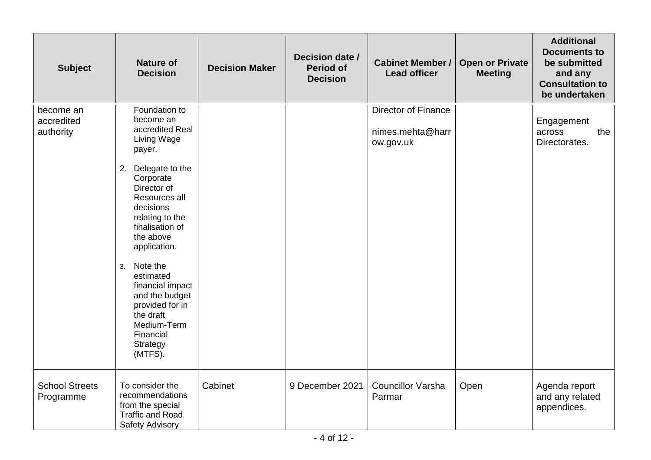| <b>Subject</b>                       | <b>Nature of</b><br><b>Decision</b>                                                                                                                                                                                                                                                                                                                                               | <b>Decision Maker</b> | Decision date /<br><b>Period of</b><br><b>Decision</b> | <b>Cabinet Member /</b><br><b>Lead officer</b>              | <b>Open or Private</b><br><b>Meeting</b> | <b>Additional</b><br><b>Documents to</b><br>be submitted<br>and any<br><b>Consultation to</b><br>be undertaken |
|--------------------------------------|-----------------------------------------------------------------------------------------------------------------------------------------------------------------------------------------------------------------------------------------------------------------------------------------------------------------------------------------------------------------------------------|-----------------------|--------------------------------------------------------|-------------------------------------------------------------|------------------------------------------|----------------------------------------------------------------------------------------------------------------|
| become an<br>accredited<br>authority | Foundation to<br>become an<br>accredited Real<br>Living Wage<br>payer.<br>2. Delegate to the<br>Corporate<br>Director of<br>Resources all<br>decisions<br>relating to the<br>finalisation of<br>the above<br>application.<br>Note the<br>3.<br>estimated<br>financial impact<br>and the budget<br>provided for in<br>the draft<br>Medium-Term<br>Financial<br>Strategy<br>(MTFS). |                       |                                                        | <b>Director of Finance</b><br>nimes.mehta@harr<br>ow.gov.uk |                                          | Engagement<br>the<br>across<br>Directorates.                                                                   |
| <b>School Streets</b><br>Programme   | To consider the<br>recommendations<br>from the special<br><b>Traffic and Road</b><br>Safety Advisory                                                                                                                                                                                                                                                                              | Cabinet               | 9 December 2021                                        | <b>Councillor Varsha</b><br>Parmar                          | Open                                     | Agenda report<br>and any related<br>appendices.                                                                |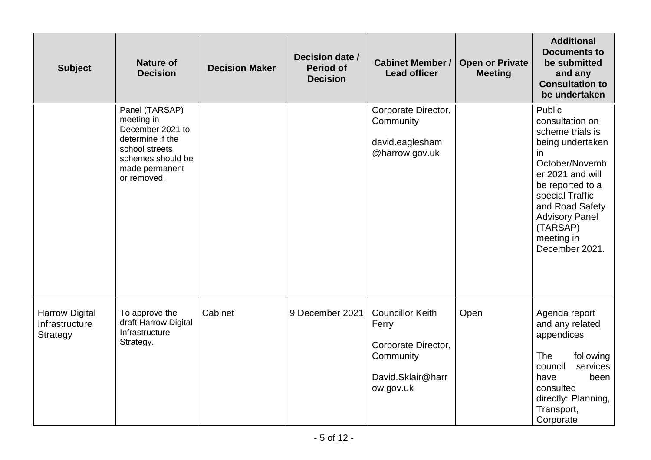| <b>Subject</b>                                             | <b>Nature of</b><br><b>Decision</b>                                                                                                          | <b>Decision Maker</b> | Decision date /<br><b>Period of</b><br><b>Decision</b> | <b>Cabinet Member /</b><br><b>Lead officer</b>                                                         | <b>Open or Private</b><br><b>Meeting</b> | <b>Additional</b><br><b>Documents to</b><br>be submitted<br>and any<br><b>Consultation to</b><br>be undertaken                                                                                                                                |
|------------------------------------------------------------|----------------------------------------------------------------------------------------------------------------------------------------------|-----------------------|--------------------------------------------------------|--------------------------------------------------------------------------------------------------------|------------------------------------------|-----------------------------------------------------------------------------------------------------------------------------------------------------------------------------------------------------------------------------------------------|
|                                                            | Panel (TARSAP)<br>meeting in<br>December 2021 to<br>determine if the<br>school streets<br>schemes should be<br>made permanent<br>or removed. |                       |                                                        | Corporate Director,<br>Community<br>david.eaglesham<br>@harrow.gov.uk                                  |                                          | Public<br>consultation on<br>scheme trials is<br>being undertaken<br>in.<br>October/Novemb<br>er 2021 and will<br>be reported to a<br>special Traffic<br>and Road Safety<br><b>Advisory Panel</b><br>(TARSAP)<br>meeting in<br>December 2021. |
| <b>Harrow Digital</b><br>Infrastructure<br><b>Strategy</b> | To approve the<br>draft Harrow Digital<br>Infrastructure<br>Strategy.                                                                        | Cabinet               | 9 December 2021                                        | <b>Councillor Keith</b><br>Ferry<br>Corporate Director,<br>Community<br>David.Sklair@harr<br>ow.gov.uk | Open                                     | Agenda report<br>and any related<br>appendices<br>following<br><b>The</b><br>council<br>services<br>have<br>been<br>consulted<br>directly: Planning,<br>Transport,<br>Corporate                                                               |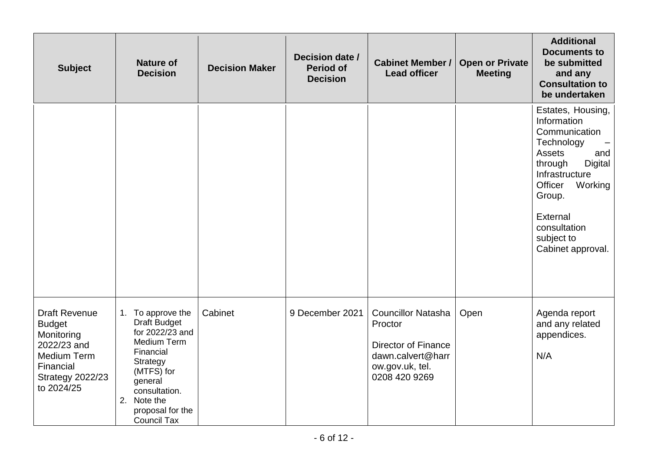| <b>Subject</b>                                                                                                                                 | <b>Nature of</b><br><b>Decision</b>                                                                                                                                                                    | <b>Decision Maker</b> | Decision date /<br><b>Period of</b><br><b>Decision</b> | <b>Cabinet Member /</b><br><b>Lead officer</b>                                                                              | <b>Open or Private</b><br><b>Meeting</b> | <b>Additional</b><br><b>Documents to</b><br>be submitted<br>and any<br><b>Consultation to</b><br>be undertaken                                                                                                                        |
|------------------------------------------------------------------------------------------------------------------------------------------------|--------------------------------------------------------------------------------------------------------------------------------------------------------------------------------------------------------|-----------------------|--------------------------------------------------------|-----------------------------------------------------------------------------------------------------------------------------|------------------------------------------|---------------------------------------------------------------------------------------------------------------------------------------------------------------------------------------------------------------------------------------|
|                                                                                                                                                |                                                                                                                                                                                                        |                       |                                                        |                                                                                                                             |                                          | Estates, Housing,<br>Information<br>Communication<br>Technology<br><b>Assets</b><br>and<br><b>Digital</b><br>through<br>Infrastructure<br>Officer<br>Working<br>Group.<br>External<br>consultation<br>subject to<br>Cabinet approval. |
| <b>Draft Revenue</b><br><b>Budget</b><br>Monitoring<br>2022/23 and<br><b>Medium Term</b><br>Financial<br><b>Strategy 2022/23</b><br>to 2024/25 | 1. To approve the<br><b>Draft Budget</b><br>for 2022/23 and<br>Medium Term<br>Financial<br>Strategy<br>(MTFS) for<br>general<br>consultation.<br>2. Note the<br>proposal for the<br><b>Council Tax</b> | Cabinet               | 9 December 2021                                        | <b>Councillor Natasha</b><br>Proctor<br><b>Director of Finance</b><br>dawn.calvert@harr<br>ow.gov.uk, tel.<br>0208 420 9269 | Open                                     | Agenda report<br>and any related<br>appendices.<br>N/A                                                                                                                                                                                |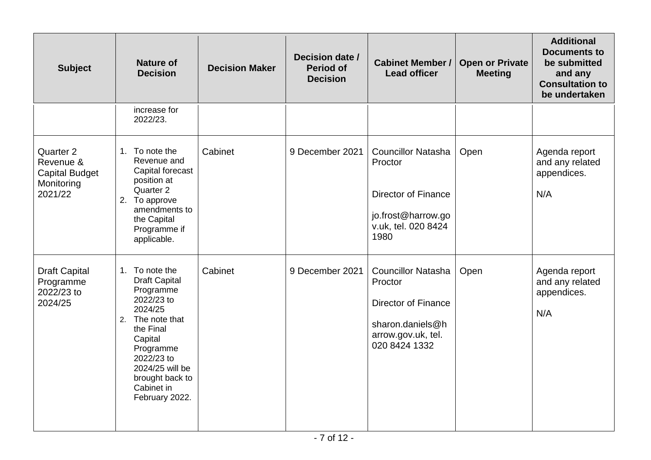| <b>Subject</b>                                                           | <b>Nature of</b><br><b>Decision</b>                                                                                                                                                                                       | <b>Decision Maker</b> | Decision date /<br><b>Period of</b><br><b>Decision</b> | <b>Cabinet Member /</b><br><b>Lead officer</b>                                                                                | <b>Open or Private</b><br><b>Meeting</b> | <b>Additional</b><br><b>Documents to</b><br>be submitted<br>and any<br><b>Consultation to</b><br>be undertaken |
|--------------------------------------------------------------------------|---------------------------------------------------------------------------------------------------------------------------------------------------------------------------------------------------------------------------|-----------------------|--------------------------------------------------------|-------------------------------------------------------------------------------------------------------------------------------|------------------------------------------|----------------------------------------------------------------------------------------------------------------|
|                                                                          | increase for<br>2022/23.                                                                                                                                                                                                  |                       |                                                        |                                                                                                                               |                                          |                                                                                                                |
| Quarter 2<br>Revenue &<br><b>Capital Budget</b><br>Monitoring<br>2021/22 | 1. To note the<br>Revenue and<br>Capital forecast<br>position at<br>Quarter 2<br>2. To approve<br>amendments to<br>the Capital<br>Programme if<br>applicable.                                                             | Cabinet               | 9 December 2021                                        | <b>Councillor Natasha</b><br>Proctor<br><b>Director of Finance</b><br>jo.frost@harrow.go<br>v.uk, tel. 020 8424<br>1980       | Open                                     | Agenda report<br>and any related<br>appendices.<br>N/A                                                         |
| <b>Draft Capital</b><br>Programme<br>2022/23 to<br>2024/25               | 1. To note the<br><b>Draft Capital</b><br>Programme<br>2022/23 to<br>2024/25<br>2. The note that<br>the Final<br>Capital<br>Programme<br>2022/23 to<br>2024/25 will be<br>brought back to<br>Cabinet in<br>February 2022. | Cabinet               | 9 December 2021                                        | <b>Councillor Natasha</b><br>Proctor<br><b>Director of Finance</b><br>sharon.daniels@h<br>arrow.gov.uk, tel.<br>020 8424 1332 | Open                                     | Agenda report<br>and any related<br>appendices.<br>N/A                                                         |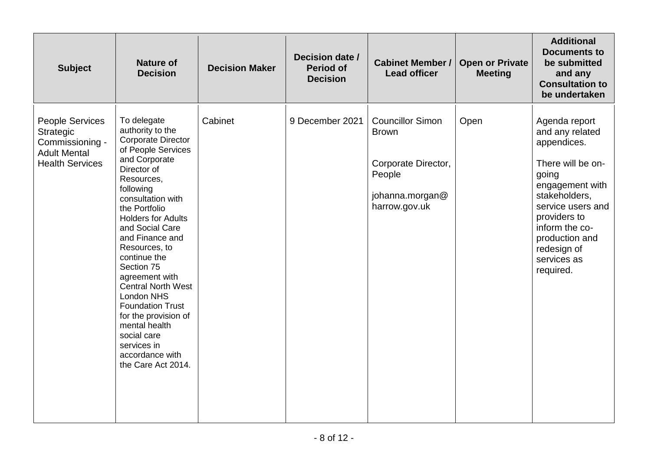| <b>Subject</b>                                                                                   | <b>Nature of</b><br><b>Decision</b>                                                                                                                                                                                                                                                                                                                                                                                                                                                                           | <b>Decision Maker</b> | Decision date /<br><b>Period of</b><br><b>Decision</b> | <b>Cabinet Member /</b><br><b>Lead officer</b>                                                               | <b>Open or Private</b><br><b>Meeting</b> | <b>Additional</b><br><b>Documents to</b><br>be submitted<br>and any<br><b>Consultation to</b><br>be undertaken                                                                                                                        |
|--------------------------------------------------------------------------------------------------|---------------------------------------------------------------------------------------------------------------------------------------------------------------------------------------------------------------------------------------------------------------------------------------------------------------------------------------------------------------------------------------------------------------------------------------------------------------------------------------------------------------|-----------------------|--------------------------------------------------------|--------------------------------------------------------------------------------------------------------------|------------------------------------------|---------------------------------------------------------------------------------------------------------------------------------------------------------------------------------------------------------------------------------------|
| People Services<br>Strategic<br>Commissioning -<br><b>Adult Mental</b><br><b>Health Services</b> | To delegate<br>authority to the<br><b>Corporate Director</b><br>of People Services<br>and Corporate<br>Director of<br>Resources,<br>following<br>consultation with<br>the Portfolio<br><b>Holders for Adults</b><br>and Social Care<br>and Finance and<br>Resources, to<br>continue the<br>Section 75<br>agreement with<br><b>Central North West</b><br>London NHS<br><b>Foundation Trust</b><br>for the provision of<br>mental health<br>social care<br>services in<br>accordance with<br>the Care Act 2014. | Cabinet               | 9 December 2021                                        | <b>Councillor Simon</b><br><b>Brown</b><br>Corporate Director,<br>People<br>johanna.morgan@<br>harrow.gov.uk | Open                                     | Agenda report<br>and any related<br>appendices.<br>There will be on-<br>going<br>engagement with<br>stakeholders,<br>service users and<br>providers to<br>inform the co-<br>production and<br>redesign of<br>services as<br>required. |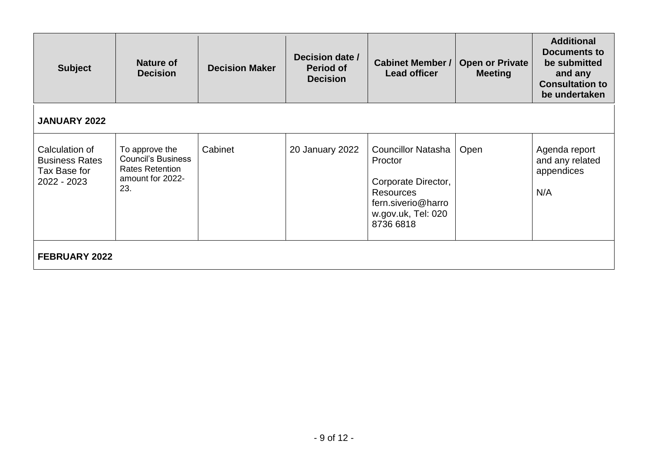| <b>Subject</b>                                                         | Nature of<br><b>Decision</b>                                                                     | <b>Decision Maker</b> | Decision date /<br><b>Period of</b><br><b>Decision</b> | <b>Cabinet Member /</b><br><b>Lead officer</b>                                                                                           | <b>Open or Private</b><br><b>Meeting</b> | <b>Additional</b><br><b>Documents to</b><br>be submitted<br>and any<br><b>Consultation to</b><br>be undertaken |
|------------------------------------------------------------------------|--------------------------------------------------------------------------------------------------|-----------------------|--------------------------------------------------------|------------------------------------------------------------------------------------------------------------------------------------------|------------------------------------------|----------------------------------------------------------------------------------------------------------------|
| <b>JANUARY 2022</b>                                                    |                                                                                                  |                       |                                                        |                                                                                                                                          |                                          |                                                                                                                |
| Calculation of<br><b>Business Rates</b><br>Tax Base for<br>2022 - 2023 | To approve the<br><b>Council's Business</b><br><b>Rates Retention</b><br>amount for 2022-<br>23. | Cabinet               | 20 January 2022                                        | <b>Councillor Natasha</b><br>Proctor<br>Corporate Director,<br><b>Resources</b><br>fern.siverio@harro<br>w.gov.uk, Tel: 020<br>8736 6818 | Open                                     | Agenda report<br>and any related<br>appendices<br>N/A                                                          |
| <b>FEBRUARY 2022</b>                                                   |                                                                                                  |                       |                                                        |                                                                                                                                          |                                          |                                                                                                                |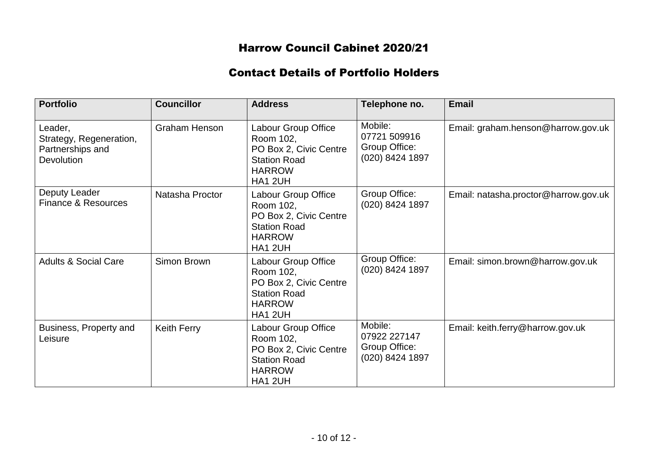# Harrow Council Cabinet 2020/21

## Contact Details of Portfolio Holders

| <b>Portfolio</b>                                                            | <b>Councillor</b>    | <b>Address</b>                                                                                                | Telephone no.                                               | <b>Email</b>                         |
|-----------------------------------------------------------------------------|----------------------|---------------------------------------------------------------------------------------------------------------|-------------------------------------------------------------|--------------------------------------|
| Leader,<br>Strategy, Regeneration,<br>Partnerships and<br><b>Devolution</b> | <b>Graham Henson</b> | Labour Group Office<br>Room 102,<br>PO Box 2, Civic Centre<br><b>Station Road</b><br><b>HARROW</b><br>HA1 2UH | Mobile:<br>07721 509916<br>Group Office:<br>(020) 8424 1897 | Email: graham.henson@harrow.gov.uk   |
| Deputy Leader<br><b>Finance &amp; Resources</b>                             | Natasha Proctor      | Labour Group Office<br>Room 102,<br>PO Box 2, Civic Centre<br><b>Station Road</b><br><b>HARROW</b><br>HA1 2UH | Group Office:<br>(020) 8424 1897                            | Email: natasha.proctor@harrow.gov.uk |
| <b>Adults &amp; Social Care</b>                                             | Simon Brown          | Labour Group Office<br>Room 102,<br>PO Box 2, Civic Centre<br><b>Station Road</b><br><b>HARROW</b><br>HA1 2UH | Group Office:<br>(020) 8424 1897                            | Email: simon.brown@harrow.gov.uk     |
| Business, Property and<br>Leisure                                           | <b>Keith Ferry</b>   | Labour Group Office<br>Room 102,<br>PO Box 2, Civic Centre<br><b>Station Road</b><br><b>HARROW</b><br>HA1 2UH | Mobile:<br>07922 227147<br>Group Office:<br>(020) 8424 1897 | Email: keith.ferry@harrow.gov.uk     |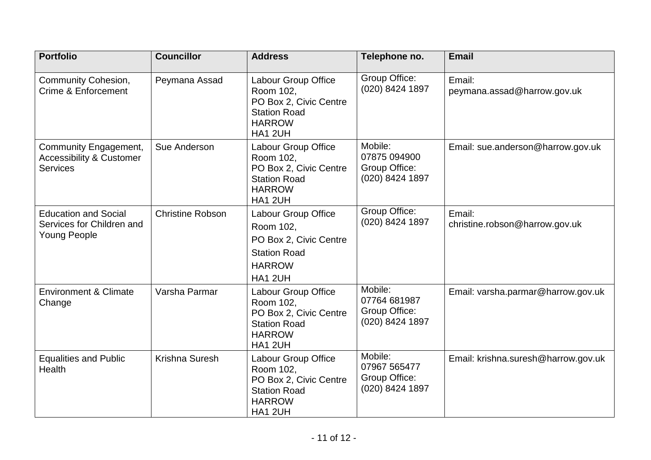| <b>Portfolio</b>                                                                | <b>Councillor</b>       | <b>Address</b>                                                                                                       | Telephone no.                                               | <b>Email</b>                             |
|---------------------------------------------------------------------------------|-------------------------|----------------------------------------------------------------------------------------------------------------------|-------------------------------------------------------------|------------------------------------------|
| <b>Community Cohesion,</b><br>Crime & Enforcement                               | Peymana Assad           | Labour Group Office<br>Room 102,<br>PO Box 2, Civic Centre<br><b>Station Road</b><br><b>HARROW</b><br><b>HA1 2UH</b> | Group Office:<br>(020) 8424 1897                            | Email:<br>peymana.assad@harrow.gov.uk    |
| Community Engagement,<br><b>Accessibility &amp; Customer</b><br><b>Services</b> | Sue Anderson            | Labour Group Office<br>Room 102,<br>PO Box 2, Civic Centre<br><b>Station Road</b><br><b>HARROW</b><br>HA1 2UH        | Mobile:<br>07875 094900<br>Group Office:<br>(020) 8424 1897 | Email: sue.anderson@harrow.gov.uk        |
| <b>Education and Social</b><br>Services for Children and<br><b>Young People</b> | <b>Christine Robson</b> | Labour Group Office<br>Room 102,<br>PO Box 2, Civic Centre<br><b>Station Road</b><br><b>HARROW</b><br>HA1 2UH        | Group Office:<br>(020) 8424 1897                            | Email:<br>christine.robson@harrow.gov.uk |
| <b>Environment &amp; Climate</b><br>Change                                      | Varsha Parmar           | Labour Group Office<br>Room 102,<br>PO Box 2, Civic Centre<br><b>Station Road</b><br><b>HARROW</b><br><b>HA1 2UH</b> | Mobile:<br>07764 681987<br>Group Office:<br>(020) 8424 1897 | Email: varsha.parmar@harrow.gov.uk       |
| <b>Equalities and Public</b><br><b>Health</b>                                   | Krishna Suresh          | Labour Group Office<br>Room 102,<br>PO Box 2, Civic Centre<br><b>Station Road</b><br><b>HARROW</b><br>HA1 2UH        | Mobile:<br>07967 565477<br>Group Office:<br>(020) 8424 1897 | Email: krishna.suresh@harrow.gov.uk      |